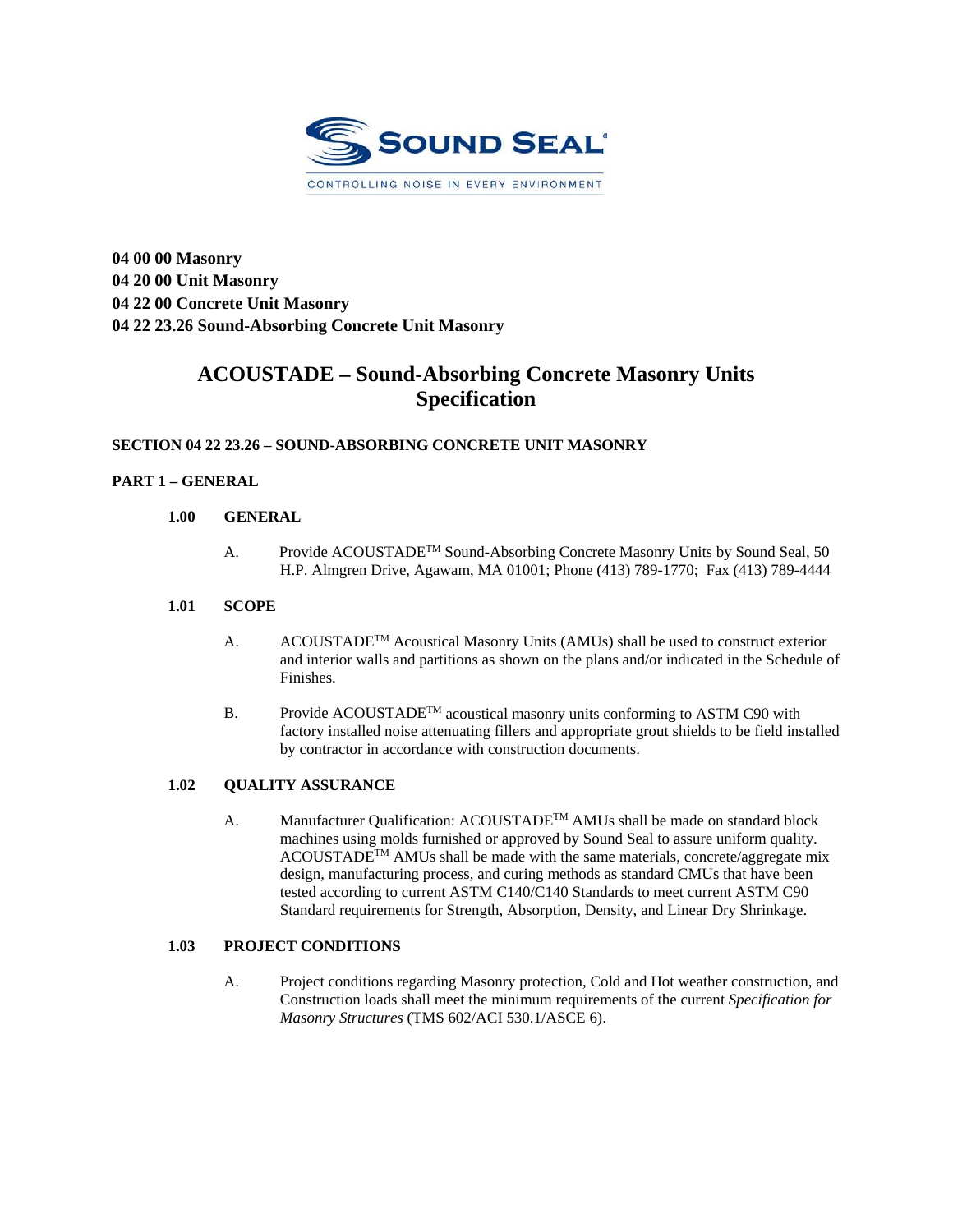

**04 00 00 Masonry 04 20 00 Unit Masonry 04 22 00 Concrete Unit Masonry 04 22 23.26 Sound-Absorbing Concrete Unit Masonry** 

# **ACOUSTADE – Sound-Absorbing Concrete Masonry Units Specification**

## **SECTION 04 22 23.26 – SOUND-ABSORBING CONCRETE UNIT MASONRY**

## **PART 1 – GENERAL**

### **1.00 GENERAL**

A. Provide ACOUSTADE<sup>™</sup> Sound-Absorbing Concrete Masonry Units by Sound Seal, 50 H.P. Almgren Drive, Agawam, MA 01001; Phone (413) 789-1770; Fax (413) 789-4444

#### **1.01 SCOPE**

- A. ACOUSTADE<sup>TM</sup> Acoustical Masonry Units (AMUs) shall be used to construct exterior and interior walls and partitions as shown on the plans and/or indicated in the Schedule of Finishes.
- B. Provide ACOUSTADE<sup>TM</sup> acoustical masonry units conforming to ASTM C90 with factory installed noise attenuating fillers and appropriate grout shields to be field installed by contractor in accordance with construction documents.

## **1.02 QUALITY ASSURANCE**

A. Manufacturer Qualification: ACOUSTADE<sup>TM</sup> AMUs shall be made on standard block machines using molds furnished or approved by Sound Seal to assure uniform quality. ACOUSTADETM AMUs shall be made with the same materials, concrete/aggregate mix design, manufacturing process, and curing methods as standard CMUs that have been tested according to current ASTM C140/C140 Standards to meet current ASTM C90 Standard requirements for Strength, Absorption, Density, and Linear Dry Shrinkage.

## **1.03 PROJECT CONDITIONS**

A. Project conditions regarding Masonry protection, Cold and Hot weather construction, and Construction loads shall meet the minimum requirements of the current *Specification for Masonry Structures* (TMS 602/ACI 530.1/ASCE 6).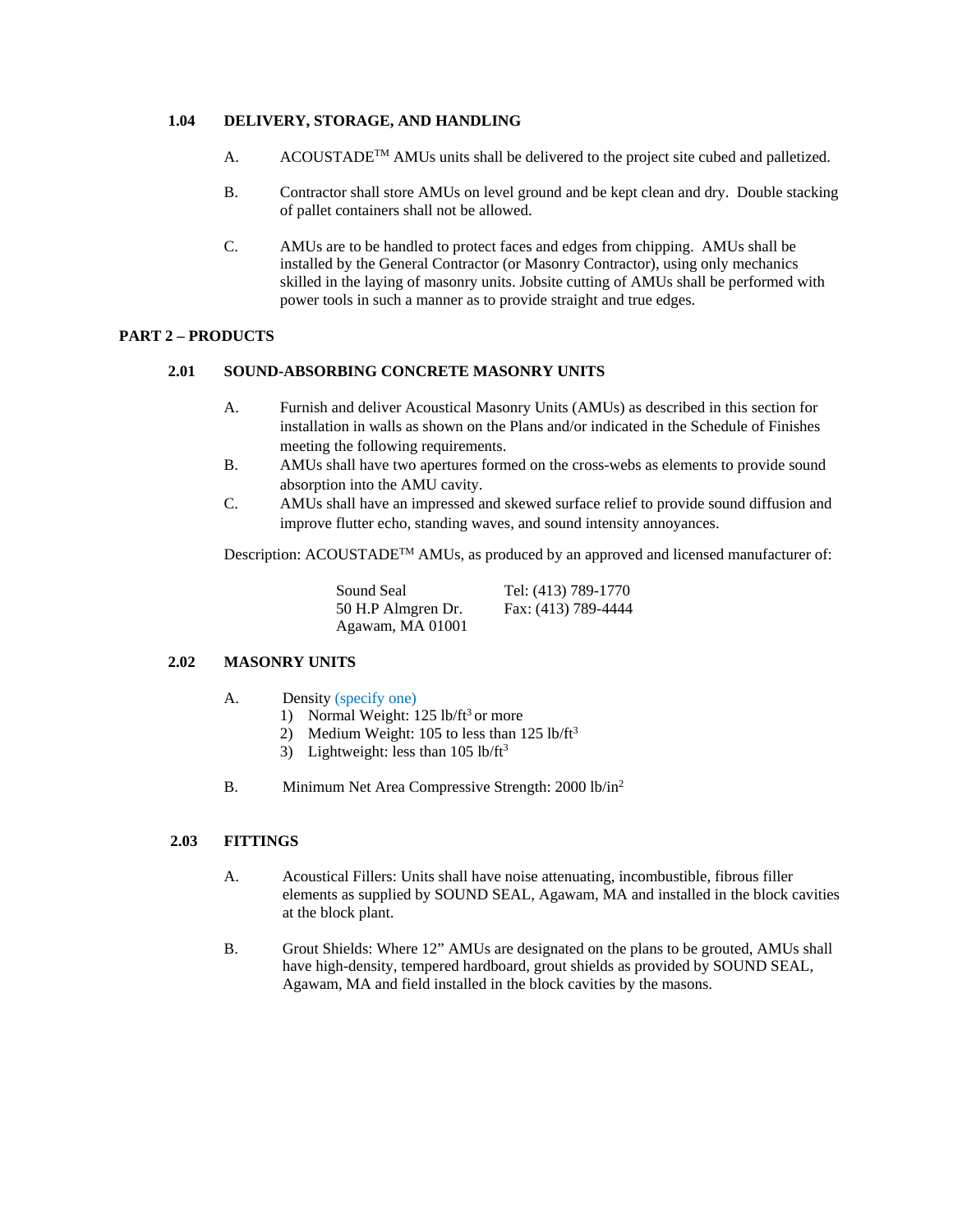#### **1.04 DELIVERY, STORAGE, AND HANDLING**

- A. ACOUSTADE<sup>TM</sup> AMUs units shall be delivered to the project site cubed and palletized.
- B. Contractor shall store AMUs on level ground and be kept clean and dry. Double stacking of pallet containers shall not be allowed.
- C. AMUs are to be handled to protect faces and edges from chipping. AMUs shall be installed by the General Contractor (or Masonry Contractor), using only mechanics skilled in the laying of masonry units. Jobsite cutting of AMUs shall be performed with power tools in such a manner as to provide straight and true edges.

## **PART 2 – PRODUCTS**

#### **2.01 SOUND-ABSORBING CONCRETE MASONRY UNITS**

- A. Furnish and deliver Acoustical Masonry Units (AMUs) as described in this section for installation in walls as shown on the Plans and/or indicated in the Schedule of Finishes meeting the following requirements.
- B. AMUs shall have two apertures formed on the cross-webs as elements to provide sound absorption into the AMU cavity.
- C. AMUs shall have an impressed and skewed surface relief to provide sound diffusion and improve flutter echo, standing waves, and sound intensity annoyances.

Description: ACOUSTADETM AMUs, as produced by an approved and licensed manufacturer of:

| Sound Seal         | Tel: (413) 789-1770 |
|--------------------|---------------------|
| 50 H.P Almgren Dr. | Fax: (413) 789-4444 |
| Agawam, MA 01001   |                     |

#### **2.02 MASONRY UNITS**

- A. Density (specify one)
	- 1) Normal Weight:  $125$  lb/ft<sup>3</sup> or more
	- 2) Medium Weight: 105 to less than  $125$  lb/ft<sup>3</sup>
	- 3) Lightweight: less than  $105$  lb/ft<sup>3</sup>
- B. Minimum Net Area Compressive Strength: 2000 lb/in<sup>2</sup>

#### **2.03 FITTINGS**

- A. Acoustical Fillers: Units shall have noise attenuating, incombustible, fibrous filler elements as supplied by SOUND SEAL, Agawam, MA and installed in the block cavities at the block plant.
- B. Grout Shields: Where 12" AMUs are designated on the plans to be grouted, AMUs shall have high-density, tempered hardboard, grout shields as provided by SOUND SEAL, Agawam, MA and field installed in the block cavities by the masons.